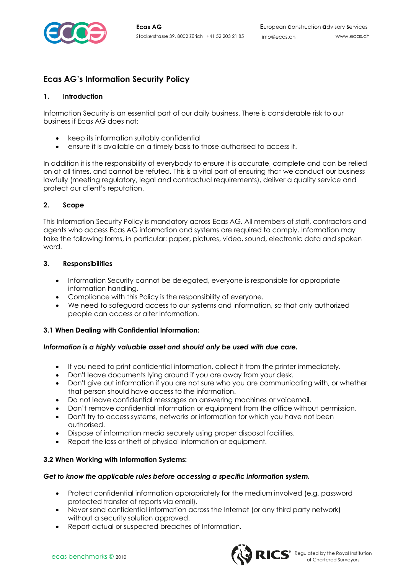

info@ecas.ch

# **Ecas AG's Information Security Policy**

### **1. Introduction**

Information Security is an essential part of our daily business. There is considerable risk to our business if Ecas AG does not:

- keep its information suitably confidential
- ensure it is available on a timely basis to those authorised to access it.

In addition it is the responsibility of everybody to ensure it is accurate, complete and can be relied on at all times, and cannot be refuted. This is a vital part of ensuring that we conduct our business lawfully (meeting regulatory, legal and contractual requirements), deliver a quality service and protect our client's reputation.

## **2. Scope**

This Information Security Policy is mandatory across Ecas AG. All members of staff, contractors and agents who access Ecas AG information and systems are required to comply. Information may take the following forms, in particular: paper, pictures, video, sound, electronic data and spoken word.

#### **3. Responsibilities**

- Information Security cannot be delegated, everyone is responsible for appropriate information handling.
- Compliance with this Policy is the responsibility of everyone.
- We need to safeguard access to our systems and information, so that only authorized people can access or alter Information.

#### **3.1 When Dealing with Confidential Information:**

#### *Information is a highly valuable asset and should only be used with due care.*

- If you need to print confidential information, collect it from the printer immediately.
- Don't leave documents lying around if you are away from your desk.
- Don't give out information if you are not sure who you are communicating with, or whether that person should have access to the information.
- Do not leave confidential messages on answering machines or voicemail.
- Don't remove confidential information or equipment from the office without permission.
- Don't try to access systems, networks or information for which you have not been authorised.
- Dispose of information media securely using proper disposal facilities.
- Report the loss or theft of physical information or equipment.

#### **3.2 When Working with Information Systems:**

#### *Get to know the applicable rules before accessing a specific information system.*

- Protect confidential information appropriately for the medium involved (e.g. password protected transfer of reports via email).
- Never send confidential information across the Internet (or any third party network) without a security solution approved.
- Report actual or suspected breaches of Information.